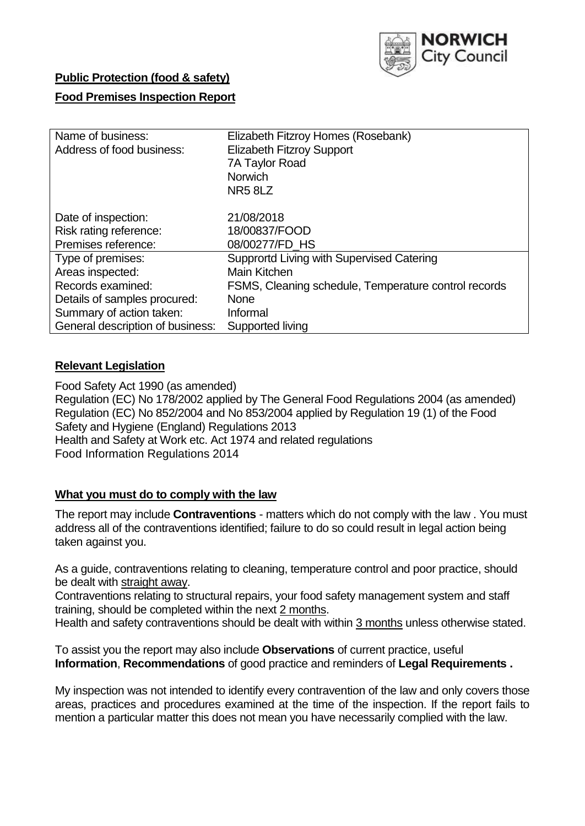

## **Public Protection (food & safety)**

## **Food Premises Inspection Report**

| Name of business:                | Elizabeth Fitzroy Homes (Rosebank)                   |  |  |  |  |
|----------------------------------|------------------------------------------------------|--|--|--|--|
| Address of food business:        | <b>Elizabeth Fitzroy Support</b>                     |  |  |  |  |
|                                  | 7A Taylor Road                                       |  |  |  |  |
|                                  | <b>Norwich</b>                                       |  |  |  |  |
|                                  | NR58LZ                                               |  |  |  |  |
|                                  |                                                      |  |  |  |  |
| Date of inspection:              | 21/08/2018                                           |  |  |  |  |
| Risk rating reference:           | 18/00837/FOOD                                        |  |  |  |  |
| Premises reference:              | 08/00277/FD HS                                       |  |  |  |  |
| Type of premises:                | Supprortd Living with Supervised Catering            |  |  |  |  |
| Areas inspected:                 | Main Kitchen                                         |  |  |  |  |
| Records examined:                | FSMS, Cleaning schedule, Temperature control records |  |  |  |  |
| Details of samples procured:     | None                                                 |  |  |  |  |
| Summary of action taken:         | Informal                                             |  |  |  |  |
| General description of business: | Supported living                                     |  |  |  |  |

### **Relevant Legislation**

Food Safety Act 1990 (as amended) Regulation (EC) No 178/2002 applied by The General Food Regulations 2004 (as amended) Regulation (EC) No 852/2004 and No 853/2004 applied by Regulation 19 (1) of the Food Safety and Hygiene (England) Regulations 2013 Health and Safety at Work etc. Act 1974 and related regulations Food Information Regulations 2014

## **What you must do to comply with the law**

The report may include **Contraventions** - matters which do not comply with the law . You must address all of the contraventions identified; failure to do so could result in legal action being taken against you.

As a guide, contraventions relating to cleaning, temperature control and poor practice, should be dealt with straight away.

Contraventions relating to structural repairs, your food safety management system and staff training, should be completed within the next 2 months.

Health and safety contraventions should be dealt with within 3 months unless otherwise stated.

To assist you the report may also include **Observations** of current practice, useful **Information**, **Recommendations** of good practice and reminders of **Legal Requirements .**

My inspection was not intended to identify every contravention of the law and only covers those areas, practices and procedures examined at the time of the inspection. If the report fails to mention a particular matter this does not mean you have necessarily complied with the law.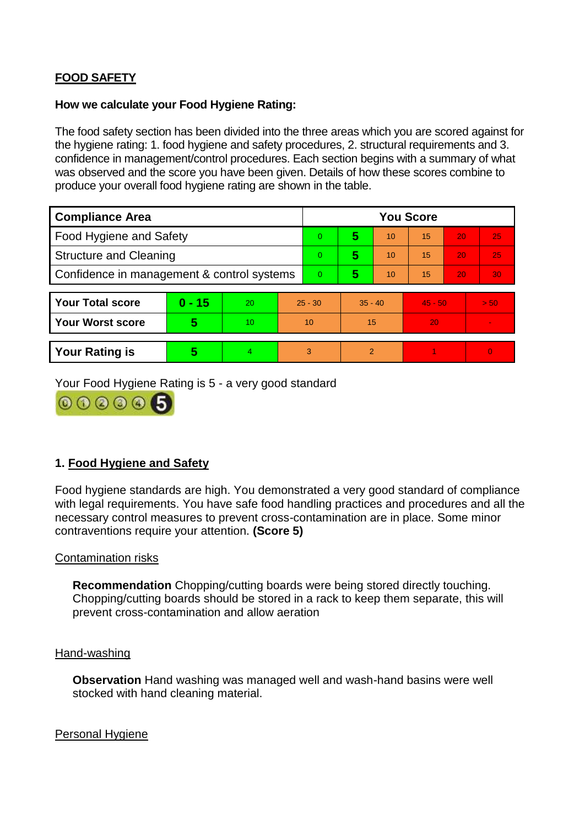# **FOOD SAFETY**

#### **How we calculate your Food Hygiene Rating:**

The food safety section has been divided into the three areas which you are scored against for the hygiene rating: 1. food hygiene and safety procedures, 2. structural requirements and 3. confidence in management/control procedures. Each section begins with a summary of what was observed and the score you have been given. Details of how these scores combine to produce your overall food hygiene rating are shown in the table.

| <b>Compliance Area</b>                     |          |    |                | <b>You Score</b> |                |    |           |    |                |  |  |
|--------------------------------------------|----------|----|----------------|------------------|----------------|----|-----------|----|----------------|--|--|
| Food Hygiene and Safety                    |          |    |                | $\Omega$         | 5              | 10 | 15        | 20 | 25             |  |  |
| <b>Structure and Cleaning</b>              |          |    | $\overline{0}$ | 5                | 10             | 15 | 20        | 25 |                |  |  |
| Confidence in management & control systems |          |    | $\Omega$       | 5                | 10             | 15 | 20        | 30 |                |  |  |
|                                            |          |    |                |                  |                |    |           |    |                |  |  |
| <b>Your Total score</b>                    | $0 - 15$ | 20 | $25 - 30$      |                  | $35 - 40$      |    | $45 - 50$ |    | > 50           |  |  |
| <b>Your Worst score</b>                    | 5        | 10 | 10             |                  | 15             |    | 20        |    | $\blacksquare$ |  |  |
|                                            |          |    |                |                  |                |    |           |    |                |  |  |
| <b>Your Rating is</b>                      | 5        | 4  | 3              |                  | $\overline{2}$ |    |           |    | $\Omega$       |  |  |

Your Food Hygiene Rating is 5 - a very good standard



## **1. Food Hygiene and Safety**

Food hygiene standards are high. You demonstrated a very good standard of compliance with legal requirements. You have safe food handling practices and procedures and all the necessary control measures to prevent cross-contamination are in place. Some minor contraventions require your attention. **(Score 5)**

### Contamination risks

**Recommendation** Chopping/cutting boards were being stored directly touching. Chopping/cutting boards should be stored in a rack to keep them separate, this will prevent cross-contamination and allow aeration

#### Hand-washing

**Observation** Hand washing was managed well and wash-hand basins were well stocked with hand cleaning material.

#### Personal Hygiene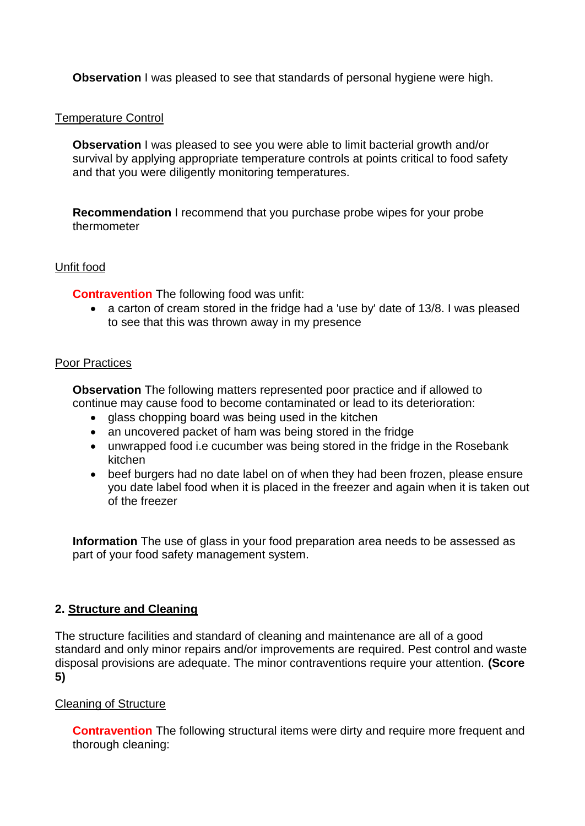**Observation** I was pleased to see that standards of personal hygiene were high.

### Temperature Control

**Observation I** was pleased to see you were able to limit bacterial growth and/or survival by applying appropriate temperature controls at points critical to food safety and that you were diligently monitoring temperatures.

**Recommendation** I recommend that you purchase probe wipes for your probe thermometer

### Unfit food

**Contravention** The following food was unfit:

 a carton of cream stored in the fridge had a 'use by' date of 13/8. I was pleased to see that this was thrown away in my presence

### Poor Practices

**Observation** The following matters represented poor practice and if allowed to continue may cause food to become contaminated or lead to its deterioration:

- glass chopping board was being used in the kitchen
- an uncovered packet of ham was being stored in the fridge
- unwrapped food i.e cucumber was being stored in the fridge in the Rosebank kitchen
- beef burgers had no date label on of when they had been frozen, please ensure you date label food when it is placed in the freezer and again when it is taken out of the freezer

**Information** The use of glass in your food preparation area needs to be assessed as part of your food safety management system.

## **2. Structure and Cleaning**

The structure facilities and standard of cleaning and maintenance are all of a good standard and only minor repairs and/or improvements are required. Pest control and waste disposal provisions are adequate. The minor contraventions require your attention. **(Score 5)**

### Cleaning of Structure

**Contravention** The following structural items were dirty and require more frequent and thorough cleaning: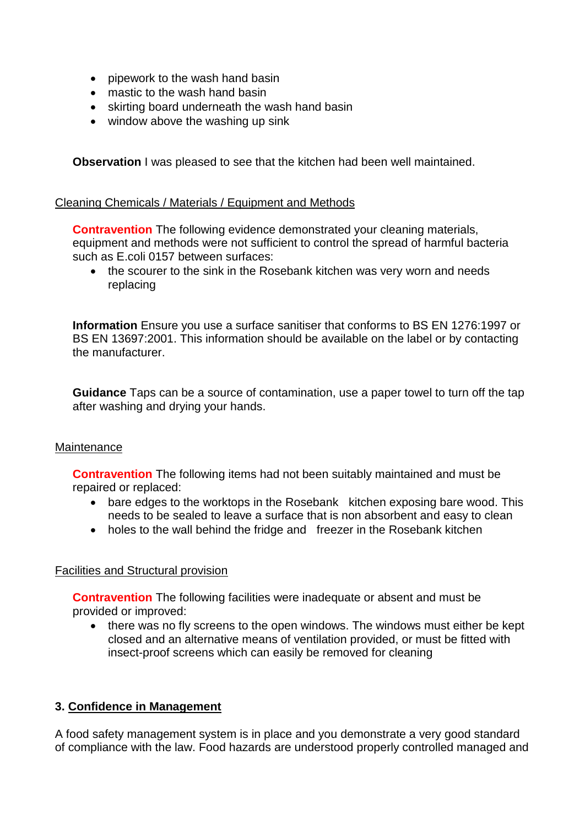- pipework to the wash hand basin
- mastic to the wash hand basin
- skirting board underneath the wash hand basin
- window above the washing up sink

**Observation** I was pleased to see that the kitchen had been well maintained.

#### Cleaning Chemicals / Materials / Equipment and Methods

**Contravention** The following evidence demonstrated your cleaning materials, equipment and methods were not sufficient to control the spread of harmful bacteria such as E.coli 0157 between surfaces:

 the scourer to the sink in the Rosebank kitchen was very worn and needs replacing

**Information** Ensure you use a surface sanitiser that conforms to BS EN 1276:1997 or BS EN 13697:2001. This information should be available on the label or by contacting the manufacturer.

**Guidance** Taps can be a source of contamination, use a paper towel to turn off the tap after washing and drying your hands.

### **Maintenance**

**Contravention** The following items had not been suitably maintained and must be repaired or replaced:

- bare edges to the worktops in the Rosebank kitchen exposing bare wood. This needs to be sealed to leave a surface that is non absorbent and easy to clean
- holes to the wall behind the fridge and freezer in the Rosebank kitchen

### Facilities and Structural provision

**Contravention** The following facilities were inadequate or absent and must be provided or improved:

• there was no fly screens to the open windows. The windows must either be kept closed and an alternative means of ventilation provided, or must be fitted with insect-proof screens which can easily be removed for cleaning

### **3. Confidence in Management**

A food safety management system is in place and you demonstrate a very good standard of compliance with the law. Food hazards are understood properly controlled managed and